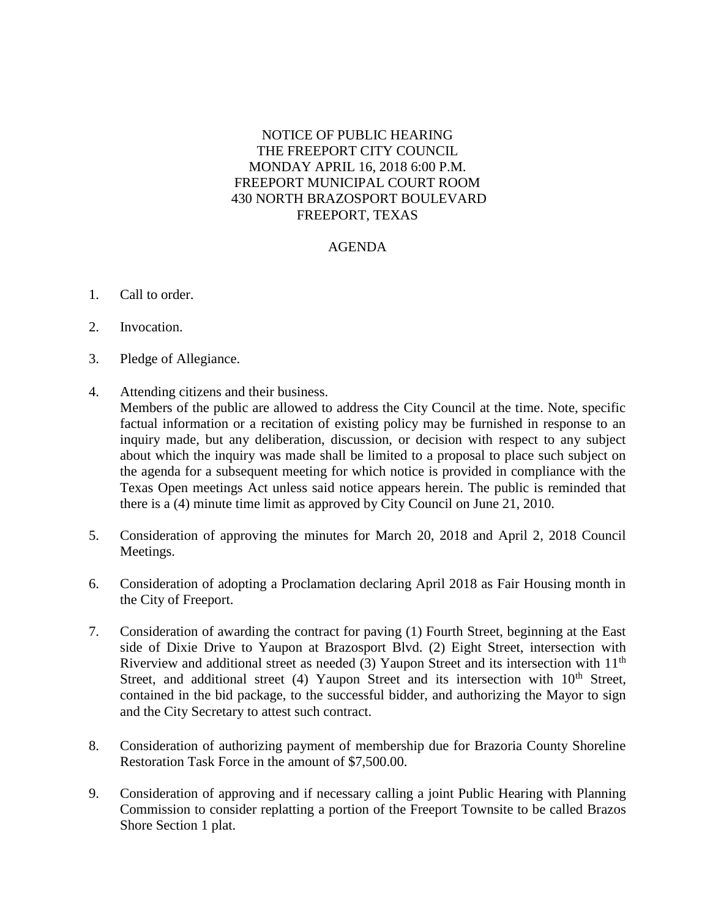## NOTICE OF PUBLIC HEARING THE FREEPORT CITY COUNCIL MONDAY APRIL 16, 2018 6:00 P.M. FREEPORT MUNICIPAL COURT ROOM 430 NORTH BRAZOSPORT BOULEVARD FREEPORT, TEXAS

## AGENDA

- 1. Call to order.
- 2. Invocation.
- 3. Pledge of Allegiance.
- 4. Attending citizens and their business.

Members of the public are allowed to address the City Council at the time. Note, specific factual information or a recitation of existing policy may be furnished in response to an inquiry made, but any deliberation, discussion, or decision with respect to any subject about which the inquiry was made shall be limited to a proposal to place such subject on the agenda for a subsequent meeting for which notice is provided in compliance with the Texas Open meetings Act unless said notice appears herein. The public is reminded that there is a (4) minute time limit as approved by City Council on June 21, 2010.

- 5. Consideration of approving the minutes for March 20, 2018 and April 2, 2018 Council Meetings.
- 6. Consideration of adopting a Proclamation declaring April 2018 as Fair Housing month in the City of Freeport.
- 7. Consideration of awarding the contract for paving (1) Fourth Street, beginning at the East side of Dixie Drive to Yaupon at Brazosport Blvd. (2) Eight Street, intersection with Riverview and additional street as needed  $(3)$  Yaupon Street and its intersection with  $11<sup>th</sup>$ Street, and additional street (4) Yaupon Street and its intersection with 10<sup>th</sup> Street, contained in the bid package, to the successful bidder, and authorizing the Mayor to sign and the City Secretary to attest such contract.
- 8. Consideration of authorizing payment of membership due for Brazoria County Shoreline Restoration Task Force in the amount of \$7,500.00.
- 9. Consideration of approving and if necessary calling a joint Public Hearing with Planning Commission to consider replatting a portion of the Freeport Townsite to be called Brazos Shore Section 1 plat.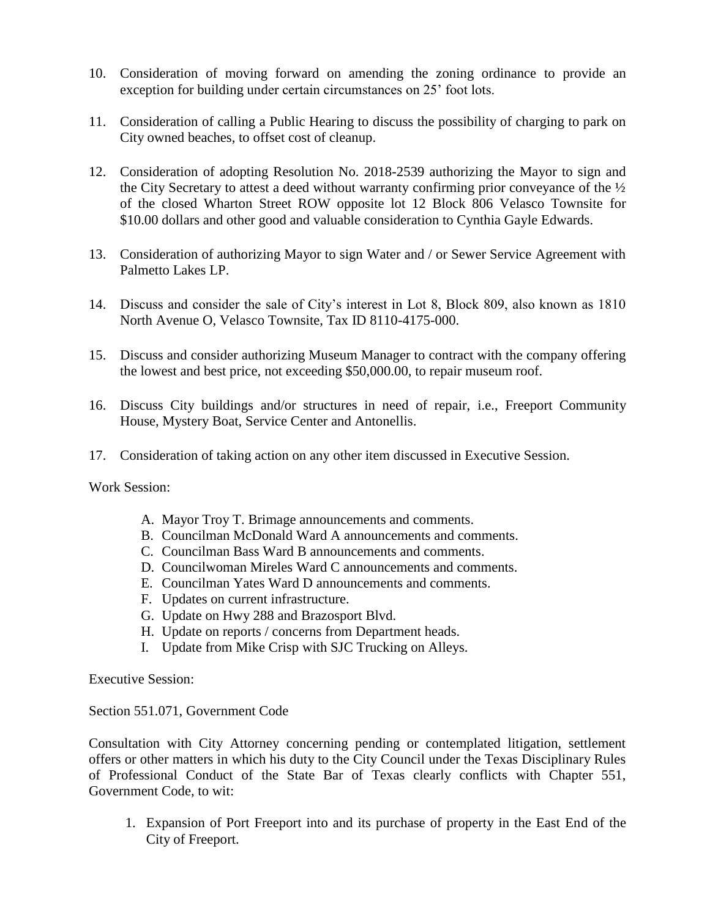- 10. Consideration of moving forward on amending the zoning ordinance to provide an exception for building under certain circumstances on 25' foot lots.
- 11. Consideration of calling a Public Hearing to discuss the possibility of charging to park on City owned beaches, to offset cost of cleanup.
- 12. Consideration of adopting Resolution No. 2018-2539 authorizing the Mayor to sign and the City Secretary to attest a deed without warranty confirming prior conveyance of the ½ of the closed Wharton Street ROW opposite lot 12 Block 806 Velasco Townsite for \$10.00 dollars and other good and valuable consideration to Cynthia Gayle Edwards.
- 13. Consideration of authorizing Mayor to sign Water and / or Sewer Service Agreement with Palmetto Lakes LP.
- 14. Discuss and consider the sale of City's interest in Lot 8, Block 809, also known as 1810 North Avenue O, Velasco Townsite, Tax ID 8110-4175-000.
- 15. Discuss and consider authorizing Museum Manager to contract with the company offering the lowest and best price, not exceeding \$50,000.00, to repair museum roof.
- 16. Discuss City buildings and/or structures in need of repair, i.e., Freeport Community House, Mystery Boat, Service Center and Antonellis.
- 17. Consideration of taking action on any other item discussed in Executive Session.

Work Session:

- A. Mayor Troy T. Brimage announcements and comments.
- B. Councilman McDonald Ward A announcements and comments.
- C. Councilman Bass Ward B announcements and comments.
- D. Councilwoman Mireles Ward C announcements and comments.
- E. Councilman Yates Ward D announcements and comments.
- F. Updates on current infrastructure.
- G. Update on Hwy 288 and Brazosport Blvd.
- H. Update on reports / concerns from Department heads.
- I. Update from Mike Crisp with SJC Trucking on Alleys.

Executive Session:

Section 551.071, Government Code

Consultation with City Attorney concerning pending or contemplated litigation, settlement offers or other matters in which his duty to the City Council under the Texas Disciplinary Rules of Professional Conduct of the State Bar of Texas clearly conflicts with Chapter 551, Government Code, to wit:

1. Expansion of Port Freeport into and its purchase of property in the East End of the City of Freeport.